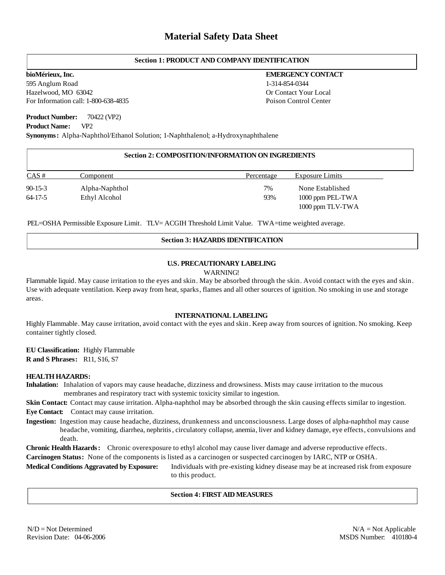# **Section 1: PRODUCT AND COMPANY IDENTIFICATION**

595 Anglum Road Hazelwood, MO 63042 For Information call: 1-800-638-4835

## **Product Number:** 70422 (VP2)

**Product Name:** VP2

**Synonyms:** Alpha-Naphthol/Ethanol Solution; 1-Naphthalenol; a-Hydroxynaphthalene

## **Section 2: COMPOSITION/INFORMATION ON INGREDIENTS**

| CAS#          | Component      | Percentage | Exposure Limits  |
|---------------|----------------|------------|------------------|
| $90 - 15 - 3$ | Alpha-Naphthol | 7%         | None Established |
| 64-17-5       | Ethyl Alcohol  | 93%        | 1000 ppm PEL-TWA |
|               |                |            | 1000 ppm TLV-TWA |

PEL=OSHA Permissible Exposure Limit. TLV= ACGIH Threshold Limit Value. TWA=time weighted average.

# **Section 3: HAZARDS IDENTIFICATION**

# **U.S. PRECAUTIONARY LABELING**

WARNING!

Flammable liquid. May cause irritation to the eyes and skin. May be absorbed through the skin. Avoid contact with the eyes and skin. Use with adequate ventilation. Keep away from heat, sparks, flames and all other sources of ignition. No smoking in use and storage areas.

## **INTERNATIONAL LABELING**

Highly Flammable. May cause irritation, avoid contact with the eyes and skin. Keep away from sources of ignition. No smoking. Keep container tightly closed.

**EU Classification:** Highly Flammable **R and S Phrases:** R11, S16, S7

#### **HEALTH HAZARDS:**

**Inhalation:** Inhalation of vapors may cause headache, dizziness and drowsiness. Mists may cause irritation to the mucous membranes and respiratory tract with systemic toxicity similar to ingestion.

**Skin Contact:** Contact may cause irritation. Alpha-naphthol may be absorbed through the skin causing effects similar to ingestion. **Eye Contact:** Contact may cause irritation.

**Ingestion:** Ingestion may cause headache, dizziness, drunkenness and unconsciousness. Large doses of alpha-naphthol may cause headache, vomiting, diarrhea, nephritis, circulatory collapse, anemia, liver and kidney damage, eye effects, convulsions and death.

**Chronic Health Hazards:** Chronic overexposure to ethyl alcohol may cause liver damage and adverse reproductive effects.

**Carcinogen Status:** None of the components is listed as a carcinogen or suspected carcinogen by IARC, NTP or OSHA.

**Medical Conditions Aggravated by Exposure:** Individuals with pre-existing kidney disease may be at increased risk from exposure to this product.

#### **Section 4: FIRST AID MEASURES**

# **bioMérieux, Inc. EMERGENCY CONTACT** 1-314-854-0344 Or Contact Your Local Poison Control Center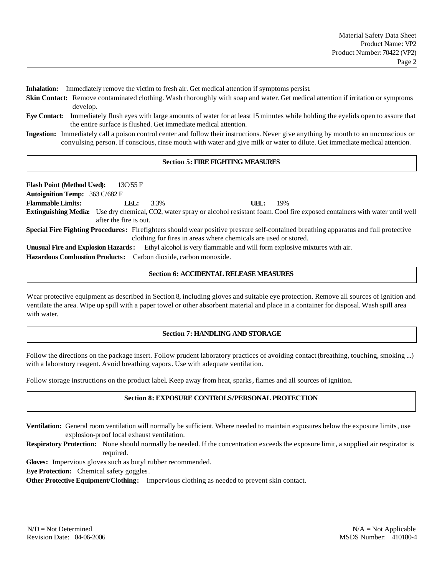**Inhalation:** Immediately remove the victim to fresh air. Get medical attention if symptoms persist.

- **Skin Contact:** Remove contaminated clothing. Wash thoroughly with soap and water. Get medical attention if irritation or symptoms develop.
- **Eye Contact:** Immediately flush eyes with large amounts of water for at least 15 minutes while holding the eyelids open to assure that the entire surface is flushed. Get immediate medical attention.
- **Ingestion:** Immediately call a poison control center and follow their instructions. Never give anything by mouth to an unconscious or convulsing person. If conscious, rinse mouth with water and give milk or water to dilute. Get immediate medical attention.

## **Section 5: FIRE FIGHTING MEASURES**

**Flash Point (Method Used):** 13C/55 F **Autoignition Temp:** 363 C/682 F **Flammable Limits: LEL:** 3.3% **UEL:** 19% **Extinguishing Media:** Use dry chemical, CO2, water spray or alcohol resistant foam. Cool fire exposed containers with water until well after the fire is out. **Special Fire Fighting Procedures:** Firefighters should wear positive pressure self-contained breathing apparatus and full protective clothing for fires in areas where chemicals are used or stored. **Unusual Fire and Explosion Hazards:** Ethyl alcohol is very flammable and will form explosive mixtures with air. **Hazardous Combustion Products:** Carbon dioxide, carbon monoxide.

# **Section 6: ACCIDENTAL RELEASE MEASURES**

Wear protective equipment as described in Section 8, including gloves and suitable eye protection. Remove all sources of ignition and ventilate the area. Wipe up spill with a paper towel or other absorbent material and place in a container for disposal. Wash spill area with water.

## **Section 7: HANDLING AND STORAGE**

Follow the directions on the package insert. Follow prudent laboratory practices of avoiding contact (breathing, touching, smoking ...) with a laboratory reagent. Avoid breathing vapors. Use with adequate ventilation.

Follow storage instructions on the product label. Keep away from heat, sparks, flames and all sources of ignition.

## **Section 8: EXPOSURE CONTROLS/PERSONAL PROTECTION**

**Ventilation:** General room ventilation will normally be sufficient. Where needed to maintain exposures below the exposure limits, use explosion-proof local exhaust ventilation.

**Respiratory Protection:** None should normally be needed. If the concentration exceeds the exposure limit, a supplied air respirator is required.

**Gloves:** Impervious gloves such as butyl rubber recommended.

**Eye Protection:** Chemical safety goggles.

**Other Protective Equipment/Clothing:** Impervious clothing as needed to prevent skin contact.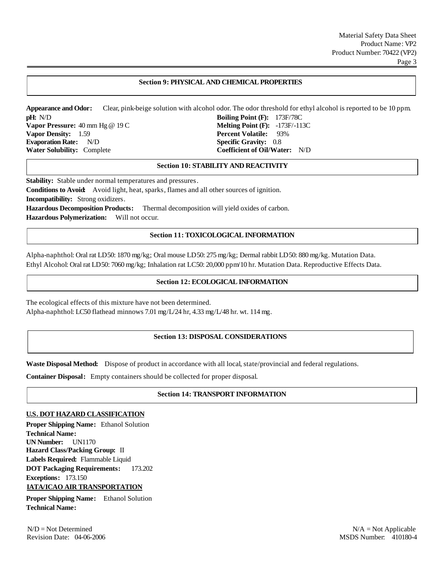#### **Section 9: PHYSICAL AND CHEMICAL PROPERTIES**

**Appearance and Odor:** Clear, pink-beige solution with alcohol odor. The odor threshold for ethyl alcohol is reported to be 10 ppm. **pH:** N/D **Boiling Point (F):** 173F/78C **Vapor Pressure:** 40 mm Hg @ 19 C **Melting Point (F):** -173F/-113C **Vapor Density:** 1.59 **Percent Volatile:** 93% **Evaporation Rate:** N/D **Specific Gravity:** 0.8 **Water Solubility:** Complete **Coefficient of Oil/Water:** N/D

#### **Section 10: STABILITY AND REACTIVITY**

**Stability:** Stable under normal temperatures and pressures.

**Conditions to Avoid:** Avoid light, heat, sparks, flames and all other sources of ignition. **Incompatibility:** Strong oxidizers.

**Hazardous Decomposition Products:** Thermal decomposition will yield oxides of carbon. **Hazardous Polymerization:** Will not occur.

#### **Section 11: TOXICOLOGICAL INFORMATION**

Alpha-naphthol: Oral rat LD50: 1870 mg/kg; Oral mouse LD50: 275 mg/kg; Dermal rabbit LD50: 880 mg/kg. Mutation Data. Ethyl Alcohol: Oral rat LD50: 7060 mg/kg; Inhalation rat LC50: 20,000 ppm/10 hr. Mutation Data. Reproductive Effects Data.

#### **Section 12: ECOLOGICAL INFORMATION**

The ecological effects of this mixture have not been determined. Alpha-naphthol: LC50 flathead minnows 7.01 mg/L/24 hr, 4.33 mg/L/48 hr. wt. 114 mg.

#### **Section 13: DISPOSAL CONSIDERATIONS**

**Waste Disposal Method:** Dispose of product in accordance with all local, state/provincial and federal regulations.

**Container Disposal:** Empty containers should be collected for proper disposal.

#### **Section 14: TRANSPORT INFORMATION**

#### **U.S. DOT HAZARD CLASSIFICATION**

**Proper Shipping Name:** Ethanol Solution **Technical Name: UN Number:** UN1170 **Hazard Class/Packing Group:** II **Labels Required:** Flammable Liquid **DOT Packaging Requirements:** 173.202 **Exceptions:** 173.150 **IATA/ICAO AIR TRANSPORTATION**

**Proper Shipping Name:** Ethanol Solution **Technical Name:**

 $N/D = Not$  Determined  $N/A = Not$  Applicable Revision Date: 04-06-2006 MSDS Number: 04-06-2006